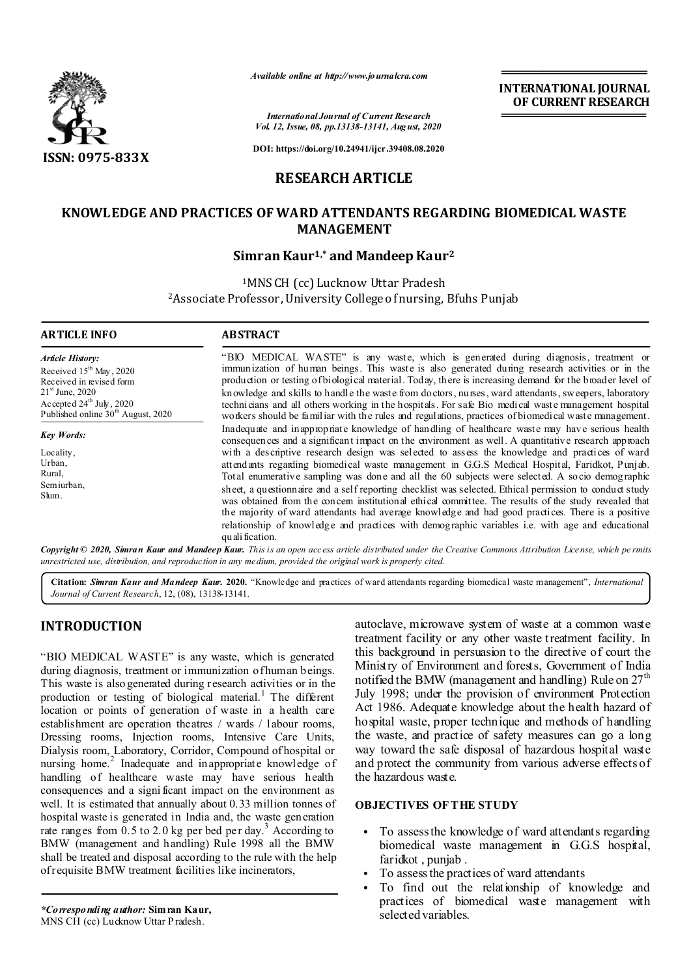

*Available online at http://www.journalcra.com*

**INTERNATIONAL JOURNAL OF CURRENT RESEARCH**

*International Journal of Current Research Vol. 12, Issue, 08, pp.13138-13141, August, 2020*

**DOI: https://doi.org/10.24941/ijcr.39408.08.2020**

# **RESEARCH ARTICLE**

# **KNOWLEDGE AND PRACTICES OF WARD ATTENDANTS REGARDING BIOMEDICAL WASTE MANAGEMENT**

## **Simran Kaur1,\* and Mandeep Kaur2**

<sup>1</sup>MNS CH (cc) Lucknow Uttar Pradesh 2Associate Professor, University College of nursing, Bfuhs Punjab

#### **ARTICLE INFO ABSTRACT**

*Article History:* Received  $15^{th}$  May, 2020 Received in revised form 21<sup>st</sup> June, 2020 Accepted  $24^{\text{th}}$  July, 2020 Published online  $30<sup>th</sup>$  August, 2020

*Key Words:*

Locality, Urban, Rural, Semiurban, Slum.

"BIO MEDICAL WASTE" is any waste, which is generated during diagnosis, treatment or immunization of human beings. This waste is also generated during research activities or in the production or testing of biological material. Today, there is increasing demand for the broader level of knowledge and skills to handle the waste from doctors, nurses, ward attendants, sweepers, laboratory technicians and all others working in the hospitals. For safe Bio medical waste management hospital workers should be familiar with the rules and regulations, practices of biomedical waste management. Inadequate and inappropriate knowledge of handling of healthcare waste may have serious health consequences and a significant impact on the environment as well. A quantitative research approach with a descriptive research design was selected to assess the knowledge and practices of ward attendants regarding biomedical waste management in G.G.S Medical Hospital, Faridkot, Punjab. Total enumerative sampling was done and all the 60 subjects were selected. A socio demographic sheet, a questionnaire and a self reporting checklist was selected. Ethical permission to conduct study was obtained from the concern institutional ethical committee. The results of the study revealed that the majority of ward attendants had average knowledge and had good practices. There is a positive relationship of knowledge and practices with demographic variables i.e. with age and educational quali fication.

Copyright © 2020, Simran Kaur and Mandeep Kaur. This is an open access article distributed under the Creative Commons Attribution License, which permits *unrestricted use, distribution, and reproduction in any medium, provided the original work is properly cited.*

**Citation:** *Simran Kaur and Mandeep Kaur.* **2020.** "Knowledge and practices of ward attendants regarding biomedical waste management", *International Journal of Current Research*, 12, (08), 13138-13141.

# **INTRODUCTION**

"BIO MEDICAL WASTE" is any waste, which is generated during diagnosis, treatment or immunization of human beings. This waste is also generated during research activities or in the production or testing of biological material.<sup>1</sup> The different location or points of generation of waste in a health care establishment are operation theatres / wards / labour rooms, Dressing rooms, Injection rooms, Intensive Care Units, Dialysis room, Laboratory, Corridor, Compound of hospital or nursing home.<sup>2</sup> Inadequate and inappropriate knowledge of handling of healthcare waste may have serious health consequences and a signi ficant impact on the environment as well. It is estimated that annually about 0.33 million tonnes of hospital waste is generated in India and, the waste generation rate ranges from  $0.5$  to  $2.0$  kg per bed per day.<sup>3</sup> According to BMW (management and handling) Rule 1998 all the BMW shall be treated and disposal according to the rule with the help of requisite BMW treatment facilities like incinerators,

*\*Corresponding author:* **Simran Kaur,** MNS CH (cc) Lucknow Uttar P radesh.

autoclave, microwave system of waste at a common waste treatment facility or any other waste treatment facility. In this background in persuasion to the directive of court the Ministry of Environment and forests, Government of India notified the BMW (management and handling) Rule on  $27<sup>th</sup>$ July 1998; under the provision of environment Protection Act 1986. Adequate knowledge about the health hazard of hospital waste, proper technique and methods of handling the waste, and practice of safety measures can go a long way toward the safe disposal of hazardous hospital waste and protect the community from various adverse effects of the hazardous waste.

## **OBJECTIVES OF THE STUDY**

- To assess the knowledge of ward attendants regarding biomedical waste management in G.G.S hospital, faridkot , punjab .
- To assess the practices of ward attendants
- To find out the relationship of knowledge and practices of biomedical waste management with selected variables.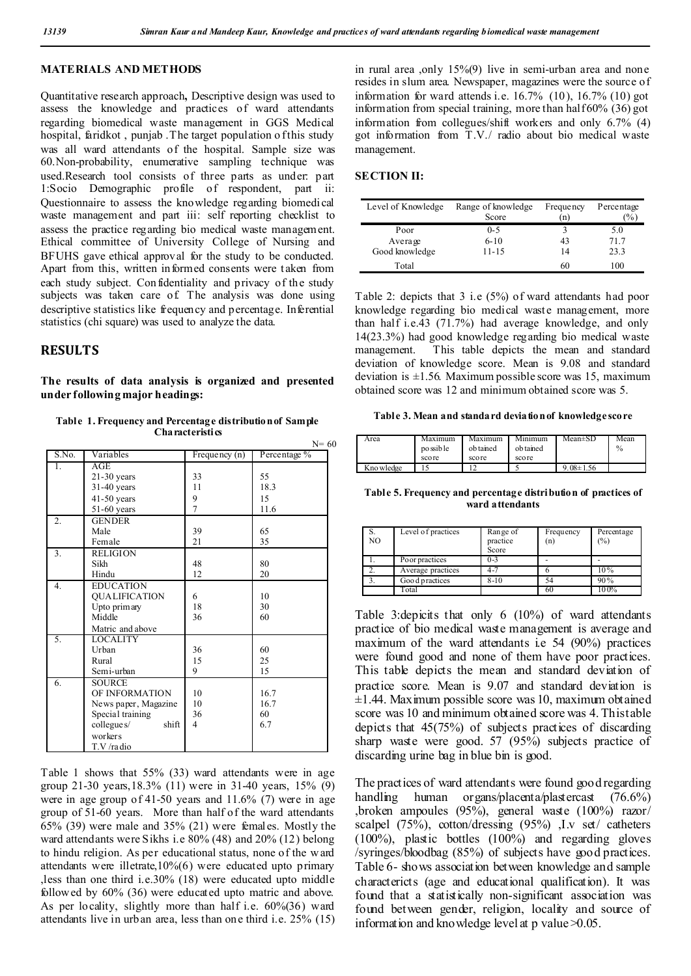## **MATERIALS AND METHODS**

Quantitative research approach**,** Descriptive design was used to assess the knowledge and practices of ward attendants regarding biomedical waste management in GGS Medical hospital, faridkot, punjab. The target population o f this study was all ward attendants of the hospital. Sample size was 60.Non-probability, enumerative sampling technique was used.Research tool consists of three parts as under: part 1:Socio Demographic profile of respondent, part ii: Questionnaire to assess the knowledge regarding biomedical waste management and part iii: self reporting checklist to assess the practice regarding bio medical waste management. Ethical committee of University College of Nursing and BFUHS gave ethical approval for the study to be conducted. Apart from this, written informed consents were taken from each study subject. Con fidentiality and privacy of the study subjects was taken care of. The analysis was done using descriptive statistics like frequency and percentage. Inferential statistics (chi square) was used to analyze the data.

# **RESULTS**

**The results of data analysis is organized and presented under following major headings:**

**Table 1. Frequency and Percentage distribution of Sample Characteristics**

|                  |                             |                 | $N=60$       |
|------------------|-----------------------------|-----------------|--------------|
| S.No.            | Variables                   | Frequency $(n)$ | Percentage % |
| Τ.               | AGE                         |                 |              |
|                  | 21-30 years                 | 33              | 55           |
|                  | $31-40$ years               | 11              | 18.3         |
|                  | $41-50$ years               | 9               | 15           |
|                  | $51-60$ years               | 7               | 11.6         |
| 2.               | <b>GENDER</b>               |                 |              |
|                  | Male                        | 39              | 65           |
|                  | Female                      | 21              | 35           |
| 3.               | <b>RELIGION</b>             |                 |              |
|                  | Sikh                        | 48              | 80           |
|                  | Hindu                       | 12              | 20           |
| $\overline{4}$ . | <b>EDUCATION</b>            |                 |              |
|                  | QUALIFICATION               | 6               | 10           |
|                  | Upto primary                | 18              | 30           |
|                  | Middle                      | 36              | 60           |
|                  | Matric and above            |                 |              |
| 5.               | <b>LOCALITY</b>             |                 |              |
|                  | Urban                       | 36              | 60           |
|                  | Rural                       | 15              | 25           |
|                  | Semi-urban                  | 9               | 15           |
| 6.               | <b>SOURCE</b>               |                 |              |
|                  | OF INFORMATION              | 10              | 16.7         |
|                  | News paper, Magazine        | 10              | 16.7         |
|                  | Special training            | 36              | 60           |
|                  | $\text{collegue}\$<br>shift | $\overline{4}$  | 6.7          |
|                  | workers                     |                 |              |
|                  | T.V/radio                   |                 |              |

Table 1 shows that 55% (33) ward attendants were in age group 21-30 years,18.3% (11) were in 31-40 years, 15% (9) were in age group of 41-50 years and 11.6% (7) were in age group of 51-60 years. More than half of the ward attendants 65% (39) were male and 35% (21) were females. Mostly the ward attendants were Sikhs i.e 80% (48) and 20% (12) belong to hindu religion. As per educational status, none of the w ard attendants were illetrate,10%(6) were educated upto primary ,less than one third i.e.30% (18) were educated upto middle followed by 60% (36) were educated upto matric and above. As per locality, slightly more than half i.e. 60%(36) ward attendants live in urban area, less than one third i.e. 25% (15)

in rural area ,only 15%(9) live in semi-urban area and none resides in slum area. Newspaper, magazines were the source of information for ward attends i.e. 16.7% (10), 16.7% (10) got information from special training, more than half 60% (36) got information from collegues/shift workers and only 6.7% (4) got information from T.V./ radio about bio medical waste management.

### **SECTION II:**

| Level of Knowledge | Range of knowledge<br>Score | Frequency<br>'n | Percentage<br>$\frac{1}{2}$ |
|--------------------|-----------------------------|-----------------|-----------------------------|
| Poor               | $0 - 5$                     |                 | 5.0                         |
| Average            | $6 - 10$                    | 43              | 71.7                        |
| Good knowledge     | 11-15                       | 14              | 23.3                        |
| Total              |                             | 60              | 100                         |

Table 2: depicts that 3 i.e (5%) of ward attendants had poor knowledge regarding bio medical waste management, more than half i.e.43 (71.7%) had average knowledge, and only 14(23.3%) had good knowledge regarding bio medical waste management. This table depicts the mean and standard deviation of knowledge score. Mean is 9.08 and standard deviation is  $\pm 1.56$ . Maximum possible score was 15, maximum obtained score was 12 and minimum obtained score was 5.

#### **Table 3. Mean and standard deviation of knowledge score**

| Area       | Maximum<br>po ssible | Maximum<br>ob tained | Minimum<br>ob tained | $Mean \pm SD$   | Mean<br>$\%$ |
|------------|----------------------|----------------------|----------------------|-----------------|--------------|
|            | score                | score                | score                |                 |              |
| Kno wledge |                      |                      |                      | $9.08 \pm 1.56$ |              |

**Table 5. Frequency and percentage distribution of practices of ward attendants**

| S.<br>NO. | Level of practices | Range of<br>practice<br>Score | Frequency<br>(n) | Percentage<br>(%) |
|-----------|--------------------|-------------------------------|------------------|-------------------|
|           | Poor practices     | $0 - 3$                       |                  |                   |
|           | Average practices  |                               |                  | $10\%$            |
|           | Good practices     | $8-10$                        | 54               | 90%               |
|           | Total              |                               | 60               | 100%              |

Table 3:depicits that only 6 (10%) of ward attendants practice of bio medical waste management is average and maximum of the ward attendants i.e 54 (90%) practices were found good and none of them have poor practices. This table depicts the mean and standard deviation of practice score. Mean is 9.07 and standard deviation is  $\pm 1.44$ . Maximum possible score was 10, maximum obtained score was 10 and minimum obtained score was 4. This table depicts that 45(75%) of subjects practices of discarding sharp waste were good. 57 (95%) subjects practice of discarding urine bag in blue bin is good.

The practices of ward attendants were found good regarding handling human organs/placenta/plastercast (76.6%) ,broken ampoules (95%), general waste (100%) razor/ scalpel (75%), cotton/dressing (95%) ,I.v set/ catheters (100%), plastic bottles (100%) and regarding gloves /syringes/bloodbag (85%) of subjects have good practices. Table 6- shows association between knowledge and sample charactericts (age and educational qualification). It was found that a statistically non-significant association was found between gender, religion, locality and source of information and knowledge level at p value  $\geq 0.05$ .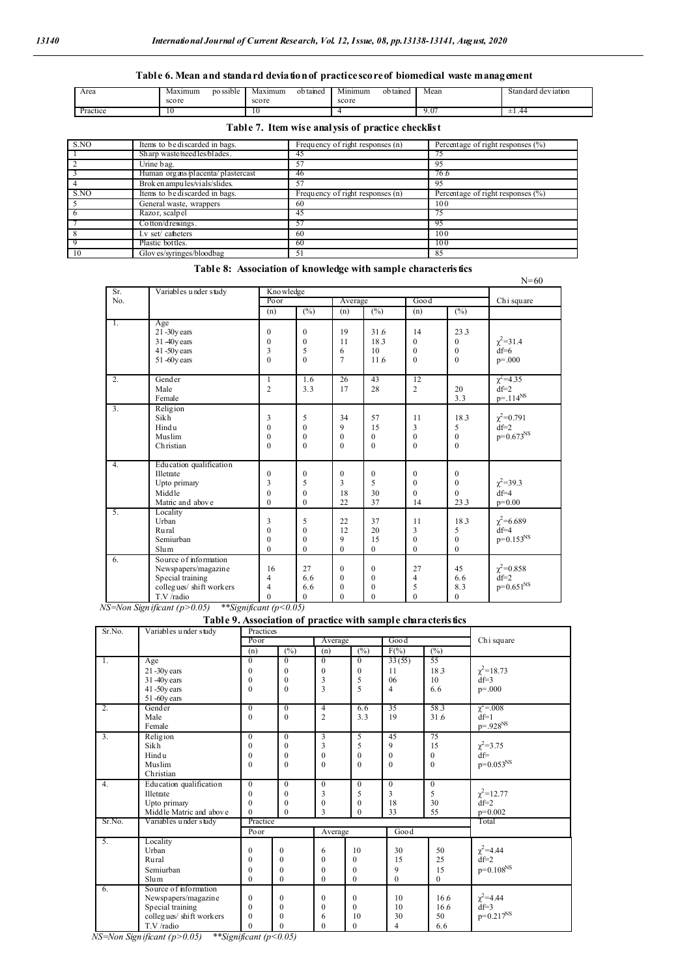## **Table 6. Mean and standard deviation of practice scoreof biomedical waste management**

| Area     | Maxımum | po ssible | Maximum | ob taned | Minimum | ob taned | Mean  | Standard deviation |
|----------|---------|-----------|---------|----------|---------|----------|-------|--------------------|
|          | score   |           | score   |          | score   |          |       |                    |
| Practice | 15      |           | 1 U     |          |         |          | ). O7 | ±1.44              |

## **Table 7. Item wise analysis of practice checklist**

| S.NO | Items to be discarded in bags.    | Frequency of right responses (n) | Percentage of right responses (%)     |
|------|-----------------------------------|----------------------------------|---------------------------------------|
|      | Sharp waste/needles/blades.       | 40                               |                                       |
|      | Urine bag.                        | 57                               | 95                                    |
|      | Human organs/placenta/plastercast | 46                               | 76.6                                  |
|      | Brok en ampules/vials/slides.     | 57                               | 95                                    |
| S.NO | Items to be discarded in bags.    | Frequency of right responses (n) | Percentage of right responses $(\% )$ |
|      | General waste, wrappers           | 60                               | 100                                   |
|      | Razor, scalpel                    | 45                               |                                       |
|      | Cotton/dressings.                 |                                  | 95                                    |
|      | I.v set/ catheters                | 60                               | 100                                   |
|      | Plastic bottles.                  | 60                               | 100                                   |
|      | Gloves/syringes/bloodbag          | 51                               | 85                                    |

## **Table 8: Association of knowledge with sample characteristics**

| Sr. | Variables under study   | Kno wledge     |                  |                |                 |                |                   |                         |  |
|-----|-------------------------|----------------|------------------|----------------|-----------------|----------------|-------------------|-------------------------|--|
| No. |                         | Poor           |                  |                | Average         |                |                   | Ch <sub>i</sub> square  |  |
|     |                         | (n)            | $\sqrt{(0,0)}$   | (n)            | $\sqrt{(26)}$   | (n)            | $\overline{(\%)}$ |                         |  |
| 1.  | Age                     |                |                  |                |                 |                |                   |                         |  |
|     | $21 - 30y$ ears         | $\mathbf{0}$   | $\mathbf{0}$     | 19             | 31.6            | 14             | 233               |                         |  |
|     | 31 -40y ears            | $\overline{0}$ | $\mathbf{0}$     | 11             | 183             | $\Omega$       | $\overline{0}$    | $\chi^2$ =31.4          |  |
|     | $41 - 50y$ ears         | 3              | 5                | 6              | 10 <sup>1</sup> | $\theta$       | $\overline{0}$    | $df=6$                  |  |
|     | 51-60y ears             | $\theta$       | $\mathbf{0}$     | $\overline{7}$ | 11.6            | $\Omega$       | $\Omega$          | $p = .000$              |  |
| 2.  | Gender                  | 1              | 1.6              | 26             | 43              | 12             |                   | $\chi^2 = 4.35$         |  |
|     | Male                    | $\overline{2}$ | 3.3              | 17             | 28              | $\overline{2}$ | 20                | $df=2$                  |  |
|     | Female                  |                |                  |                |                 |                | 3.3               | $p = .114^{NS}$         |  |
| 3.  | Religion                |                |                  |                |                 |                |                   |                         |  |
|     | <b>Sikh</b>             | 3              | 5                | 34             | 57              | 11             | 18.3              | $\chi^2$ =0.791         |  |
|     | Hindu                   | $\mathbf{0}$   | $\boldsymbol{0}$ | 9              | 15              | 3              | 5                 | $df=2$                  |  |
|     | Muslim                  | $\mathbf{0}$   | $\boldsymbol{0}$ | $\mathbf{0}$   | $\mathbf{0}$    | $\mathbf{0}$   | $\mathbf{0}$      | $p=0.673^{NS}$          |  |
|     | Christian               | $\theta$       | $\mathbf{0}$     | $\theta$       | $\mathbf{0}$    | $\theta$       | $\theta$          |                         |  |
| -4. | Education qualification |                |                  |                |                 |                |                   |                         |  |
|     | Illetrate               | $\mathbf{0}$   | $\mathbf{0}$     | $\Omega$       | $\mathbf{0}$    | $\Omega$       | $\mathbf{0}$      |                         |  |
|     | Upto primary            | 3              | 5                | 3              | 5               | $\Omega$       | $\overline{0}$    | $\chi^2$ =39.3          |  |
|     | Middle                  | $\mathbf{0}$   | $\boldsymbol{0}$ | 18             | 30              | $\Omega$       | $\Omega$          | $df=4$                  |  |
|     | Matric and above        | $\mathbf{0}$   | $\mathbf{0}$     | 22             | 37              | 14             | 233               | $p=0.00$                |  |
| 5.  | Locality                |                |                  |                |                 |                |                   |                         |  |
|     | Urban                   | 3              | 5                | 22             | 37              | 11             | 183               | $\chi^2$ =6.689         |  |
|     | Rural                   | $\theta$       | $\mathbf{0}$     | 12             | 20              | 3              | 5                 | $df=4$                  |  |
|     | Semiurban               | $\mathbf{0}$   | $\boldsymbol{0}$ | 9              | 15              | $\mathbf{0}$   | $\theta$          | $p=0.153^{NS}$          |  |
|     | Slum                    | $\theta$       | $\mathbf{0}$     | $\overline{0}$ | $\mathbf{0}$    | $\Omega$       | $\Omega$          |                         |  |
| 6.  | Source of information   |                |                  |                |                 |                |                   |                         |  |
|     | Newspapers/magazine     | 16             | 27               | $\theta$       | $\mathbf{0}$    | 27             | 45                | $\chi^2$ =0.858         |  |
|     | Special training        | 4              | 6.6              | $\mathbf{0}$   | $\mathbf{0}$    | $\overline{4}$ | 6.6               | $df=2$                  |  |
|     | collegues/shift workers | 4              | 6.6              | $\mathbf{0}$   | $\mathbf{0}$    | 5              | 8.3               | $p=0.651^{\mathrm{NS}}$ |  |
|     | T.V /radio              | $\theta$       | $\mathbf{0}$     | $\theta$       | $\mathbf{0}$    | $\Omega$       | $\overline{0}$    |                         |  |

*NS=Non Significant (p>0.05) \*\*Significant (p<0.05)*

## **Table 9. Association of practice with sample characteristics**

| Sr.No.           | Variables under study   | Practices        |                   |                |                |                         | .                 |                      |
|------------------|-------------------------|------------------|-------------------|----------------|----------------|-------------------------|-------------------|----------------------|
|                  |                         |                  |                   | Average        |                | Good                    |                   | Chi square           |
|                  |                         | (n)              | $\overline{(\%)}$ | (n)            | $\sqrt{(0,0)}$ | $F(\%)$                 | $\overline{(\%)}$ |                      |
| Τ.               | Age                     | $\overline{0}$   | $\overline{0}$    | $\overline{0}$ | $\overline{0}$ | 33(55)                  | 55                |                      |
|                  | $21 - 30y$ ears         | 0                | $\theta$          | $\theta$       | $\theta$       | 11                      | 183               | $\chi^2$ =18.73      |
|                  | 31 -40y ears            | $\mathbf{0}$     | $\mathbf{0}$      | 3              | 5              | 06                      | 10                | $df=3$               |
|                  | $41 - 50y$ ears         | $\mathbf{0}$     | $\theta$          | 3              | 5              | 4                       | 6.6               | $p = .000$           |
|                  | 51-60y ears             |                  |                   |                |                |                         |                   |                      |
| 2.               | Gender                  | $\overline{0}$   | $\overline{0}$    | 4              | 6.6            | 35                      | 58.3              | $\chi^2 = 0.008$     |
|                  | Male                    | $\mathbf{0}$     | $\Omega$          | $\overline{2}$ | 3.3            | 19                      | 31.6              | $df=1$               |
|                  | Female                  |                  |                   |                |                |                         |                   | $p = .928^{NS}$      |
| 3.               | Religion                | $\mathbf{0}$     | $\Omega$          | 3              | 5              | 45                      | 75                |                      |
|                  | Sikh                    | $\mathbf{0}$     | $\theta$          | 3              | 5              | 9                       | 15                | $\chi^2$ =3.75       |
|                  | Hindu                   | $\boldsymbol{0}$ | $\mathbf{0}$      | $\mathbf{0}$   | $\theta$       | $\bf{0}$                | $\Omega$          | $df =$               |
|                  | Muslim                  | $\mathbf{0}$     | $\theta$          | $\theta$       | $\theta$       | $\mathbf{0}$            | $\theta$          | $\rm p{=}0.053^{NS}$ |
|                  | Christian               |                  |                   |                |                |                         |                   |                      |
| $\overline{4}$ . | Education qualification | $\mathbf{0}$     | $\theta$          | $\mathbf{0}$   | $\theta$       | $\mathbf{0}$            | $\Omega$          |                      |
|                  | Illetrate               | $\mathbf{0}$     | $\theta$          | 3              | 5              | 3                       | 5                 | $\chi^2$ =12.77      |
|                  | Upto primary            | $\mathbf{0}$     | $\mathbf{0}$      | $\mathbf{0}$   | $\mathbf{0}$   | 18                      | 30                | $df=2$               |
|                  | Middle Matric and above | $\theta$         | $\theta$          | 3              | $\theta$       | 33                      | 55                | $p=0.002$            |
| Sr.No.           | Variables under study   | Practice         |                   |                |                |                         |                   | Total                |
|                  |                         | Poor             |                   | Average        |                | Good                    |                   |                      |
| 5.               | Locality                |                  |                   |                |                |                         |                   |                      |
|                  | Urban                   | $\mathbf{0}$     | $\Omega$          | 6              | 10             | 30                      | 50                | $\chi^2$ = 4.44      |
|                  | Rural                   | $\mathbf{0}$     | $\theta$          | $\Omega$       | $\theta$       | 15                      | 25                | $df=2$               |
|                  | Semiurban               | $\mathbf{0}$     | $\theta$          | $\theta$       | $\theta$       | 9                       | 15                | $p=0.108^{NS}$       |
|                  | Slum                    | $\mathbf{0}$     | $\mathbf{0}$      | $\mathbf{0}$   | $\overline{0}$ | $\mathbf{0}$            | $\mathbf{0}$      |                      |
| 6.               | Source of information   |                  |                   |                |                |                         |                   |                      |
|                  | Newspapers/magazine     | $\mathbf{0}$     | $\Omega$          | $\mathbf{0}$   | $\theta$       | 10                      | 16.6              | $\chi^2$ = 4.44      |
|                  | Special training        | $\mathbf{0}$     | $\theta$          | $\theta$       | $\theta$       | 10                      | 16.6              | $df=3$               |
|                  | collegues/shift workers | $\boldsymbol{0}$ | $\Omega$          | 6              | 10             | 30                      | 50                | $p=0.217^{NS}$       |
|                  | T.V /radio              | $\theta$         | $\Omega$          | $\theta$       | $\theta$       | $\overline{\mathbf{4}}$ | 6.6               |                      |

*NS=Non Significant (p>0.05) \*\*Significant (p<0.05)*